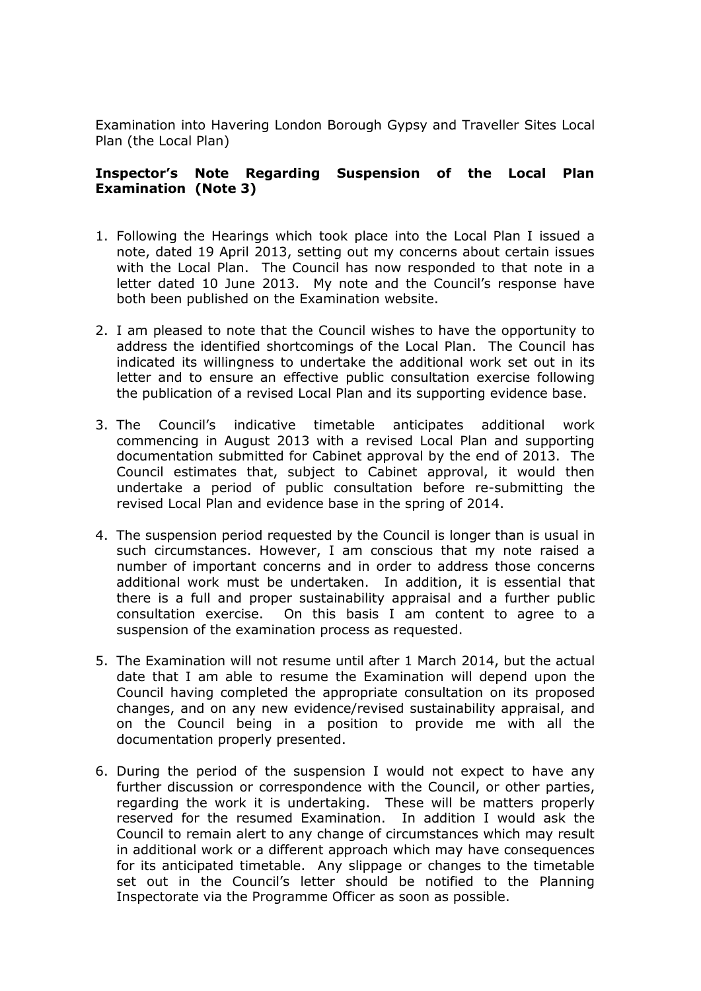Examination into Havering London Borough Gypsy and Traveller Sites Local Plan (the Local Plan)

## **Inspector's Note Regarding Suspension of the Local Plan Examination (Note 3)**

- 1. Following the Hearings which took place into the Local Plan I issued a note, dated 19 April 2013, setting out my concerns about certain issues with the Local Plan. The Council has now responded to that note in a letter dated 10 June 2013. My note and the Council's response have both been published on the Examination website.
- 2. I am pleased to note that the Council wishes to have the opportunity to address the identified shortcomings of the Local Plan. The Council has indicated its willingness to undertake the additional work set out in its letter and to ensure an effective public consultation exercise following the publication of a revised Local Plan and its supporting evidence base.
- 3. The Council's indicative timetable anticipates additional work commencing in August 2013 with a revised Local Plan and supporting documentation submitted for Cabinet approval by the end of 2013. The Council estimates that, subject to Cabinet approval, it would then undertake a period of public consultation before re-submitting the revised Local Plan and evidence base in the spring of 2014.
- 4. The suspension period requested by the Council is longer than is usual in such circumstances. However, I am conscious that my note raised a number of important concerns and in order to address those concerns additional work must be undertaken. In addition, it is essential that there is a full and proper sustainability appraisal and a further public consultation exercise. On this basis I am content to agree to a suspension of the examination process as requested.
- 5. The Examination will not resume until after 1 March 2014, but the actual date that I am able to resume the Examination will depend upon the Council having completed the appropriate consultation on its proposed changes, and on any new evidence/revised sustainability appraisal, and on the Council being in a position to provide me with all the documentation properly presented.
- 6. During the period of the suspension I would not expect to have any further discussion or correspondence with the Council, or other parties, regarding the work it is undertaking. These will be matters properly reserved for the resumed Examination. In addition I would ask the Council to remain alert to any change of circumstances which may result in additional work or a different approach which may have consequences for its anticipated timetable. Any slippage or changes to the timetable set out in the Council's letter should be notified to the Planning Inspectorate via the Programme Officer as soon as possible.